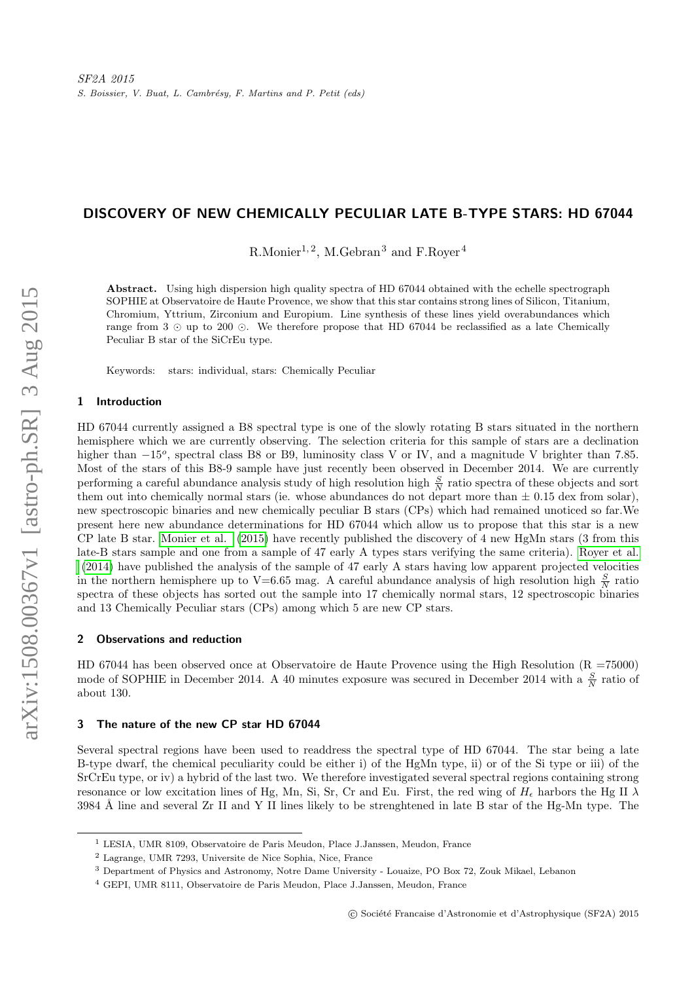# DISCOVERY OF NEW CHEMICALLY PECULIAR LATE B-TYPE STARS: HD 67044

R.Monier<sup>1, 2</sup>, M.Gebran<sup>3</sup> and F.Royer<sup>4</sup>

Abstract. Using high dispersion high quality spectra of HD 67044 obtained with the echelle spectrograph SOPHIE at Observatoire de Haute Provence, we show that this star contains strong lines of Silicon, Titanium, Chromium, Yttrium, Zirconium and Europium. Line synthesis of these lines yield overabundances which range from 3  $\odot$  up to 200  $\odot$ . We therefore propose that HD 67044 be reclassified as a late Chemically Peculiar B star of the SiCrEu type.

Keywords: stars: individual, stars: Chemically Peculiar

### 1 Introduction

HD 67044 currently assigned a B8 spectral type is one of the slowly rotating B stars situated in the northern hemisphere which we are currently observing. The selection criteria for this sample of stars are a declination higher than  $-15^{\circ}$ , spectral class B8 or B9, luminosity class V or IV, and a magnitude V brighter than 7.85. Most of the stars of this B8-9 sample have just recently been observed in December 2014. We are currently performing a careful abundance analysis study of high resolution high  $\frac{S}{N}$  ratio spectra of these objects and sort them out into chemically normal stars (ie. whose abundances do not depart more than  $\pm$  0.15 dex from solar), new spectroscopic binaries and new chemically peculiar B stars (CPs) which had remained unoticed so far.We present here new abundance determinations for HD 67044 which allow us to propose that this star is a new CP late B star. [Monier et al.](#page-2-0) [\(2015\)](#page-2-0) have recently published the discovery of 4 new HgMn stars (3 from this late-B stars sample and one from a sample of 47 early A types stars verifying the same criteria). [Royer et al.](#page-2-1) [\(2014\)](#page-2-1) have published the analysis of the sample of 47 early A stars having low apparent projected velocities in the northern hemisphere up to V=6.65 mag. A careful abundance analysis of high resolution high  $\frac{S}{N}$  ratio spectra of these objects has sorted out the sample into 17 chemically normal stars, 12 spectroscopic binaries and 13 Chemically Peculiar stars (CPs) among which 5 are new CP stars.

#### 2 Observations and reduction

HD 67044 has been observed once at Observatoire de Haute Provence using the High Resolution (R =75000) mode of SOPHIE in December 2014. A 40 minutes exposure was secured in December 2014 with a  $\frac{S}{N}$  ratio of about 130.

## 3 The nature of the new CP star HD 67044

Several spectral regions have been used to readdress the spectral type of HD 67044. The star being a late B-type dwarf, the chemical peculiarity could be either i) of the HgMn type, ii) or of the Si type or iii) of the SrCrEu type, or iv) a hybrid of the last two. We therefore investigated several spectral regions containing strong resonance or low excitation lines of Hg, Mn, Si, Sr, Cr and Eu. First, the red wing of  $H<sub>\epsilon</sub>$  harbors the Hg II  $\lambda$ 3984 Å line and several  $Zr$  II and Y II lines likely to be strenghtened in late B star of the Hg-Mn type. The

<sup>1</sup> LESIA, UMR 8109, Observatoire de Paris Meudon, Place J.Janssen, Meudon, France

<sup>2</sup> Lagrange, UMR 7293, Universite de Nice Sophia, Nice, France

<sup>3</sup> Department of Physics and Astronomy, Notre Dame University - Louaize, PO Box 72, Zouk Mikael, Lebanon

<sup>4</sup> GEPI, UMR 8111, Observatoire de Paris Meudon, Place J.Janssen, Meudon, France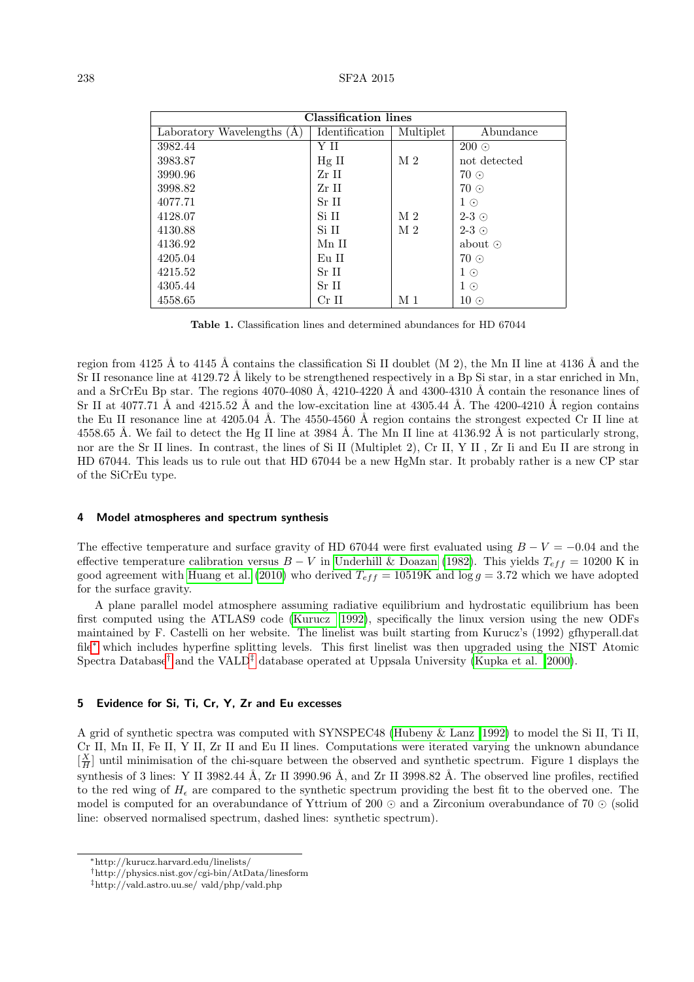| Classification lines         |                |                |               |
|------------------------------|----------------|----------------|---------------|
| Laboratory Wavelengths $(A)$ | Identification | Multiplet      | Abundance     |
| 3982.44                      | ΥH             |                | $200\odot$    |
| 3983.87                      | $Hg$ II        | M <sub>2</sub> | not detected  |
| 3990.96                      | Zr II          |                | $70\odot$     |
| 3998.82                      | Zr II          |                | $70\odot$     |
| 4077.71                      | Sr II          |                | $1\odot$      |
| 4128.07                      | Si II          | M <sub>2</sub> | $2-3$ $\odot$ |
| 4130.88                      | Si II          | M <sub>2</sub> | $2-3$ $\odot$ |
| 4136.92                      | Mn II          |                | about $\odot$ |
| 4205.04                      | Eu II          |                | $70\odot$     |
| 4215.52                      | Sr II          |                | $1\odot$      |
| 4305.44                      | Sr II          |                | $1 \odot$     |
| 4558.65                      | $Cr$ II        | M 1            | $10\odot$     |

Table 1. Classification lines and determined abundances for HD 67044

region from 4125 Å to 4145 Å contains the classification Si II doublet (M 2), the Mn II line at 4136 Å and the Sr II resonance line at 4129.72 Å likely to be strengthened respectively in a Bp Si star, in a star enriched in Mn, and a SrCrEu Bp star. The regions  $4070-4080 \text{ Å}$ ,  $4210-4220 \text{ Å}$  and  $4300-4310 \text{ Å}$  contain the resonance lines of Sr II at 4077.71 Å and 4215.52 Å and the low-excitation line at 4305.44 Å. The 4200-4210 Å region contains the Eu II resonance line at  $4205.04$  Å. The 4550-4560 Å region contains the strongest expected Cr II line at 4558.65 Å. We fail to detect the Hg II line at 3984 Å. The Mn II line at 4136.92 Å is not particularly strong, nor are the Sr II lines. In contrast, the lines of Si II (Multiplet 2), Cr II, Y II , Zr Ii and Eu II are strong in HD 67044. This leads us to rule out that HD 67044 be a new HgMn star. It probably rather is a new CP star of the SiCrEu type.

### 4 Model atmospheres and spectrum synthesis

The effective temperature and surface gravity of HD 67044 were first evaluated using  $B - V = -0.04$  and the effective temperature calibration versus  $B - V$  in [Underhill & Doazan](#page-2-2) [\(1982\)](#page-2-2). This yields  $T_{eff} = 10200$  K in good agreement with [Huang et al.](#page-2-3) [\(2010\)](#page-2-3) who derived  $T_{eff} = 10519K$  and  $\log g = 3.72$  which we have adopted for the surface gravity.

A plane parallel model atmosphere assuming radiative equilibrium and hydrostatic equilibrium has been first computed using the ATLAS9 code [\(Kurucz 1992\)](#page-2-4), specifically the linux version using the new ODFs maintained by F. Castelli on her website. The linelist was built starting from Kurucz's (1992) gfhyperall.dat file[∗](#page-1-0) which includes hyperfine splitting levels. This first linelist was then upgraded using the NIST Atomic Spectra Database<sup>[†](#page-1-1)</sup> and the VALD<sup>[‡](#page-1-2)</sup> database operated at Uppsala University [\(Kupka et al. 2000\)](#page-2-5).

## 5 Evidence for Si, Ti, Cr, Y, Zr and Eu excesses

A grid of synthetic spectra was computed with SYNSPEC48 [\(Hubeny & Lanz 1992\)](#page-2-6) to model the Si II, Ti II, Cr II, Mn II, Fe II, Y II, Zr II and Eu II lines. Computations were iterated varying the unknown abundance  $\left[\frac{X}{H}\right]$  until minimisation of the chi-square between the observed and synthetic spectrum. Figure 1 displays the synthesis of 3 lines: Y II 3982.44 Å, Zr II 3990.96 Å, and Zr II 3998.82 Å. The observed line profiles, rectified to the red wing of  $H_{\epsilon}$  are compared to the synthetic spectrum providing the best fit to the oberved one. The model is computed for an overabundance of Yttrium of 200  $\odot$  and a Zirconium overabundance of 70  $\odot$  (solid line: observed normalised spectrum, dashed lines: synthetic spectrum).

<span id="page-1-0"></span><sup>∗</sup>http://kurucz.harvard.edu/linelists/

<span id="page-1-1"></span><sup>†</sup>http://physics.nist.gov/cgi-bin/AtData/linesform

<span id="page-1-2"></span><sup>‡</sup>http://vald.astro.uu.se/ vald/php/vald.php